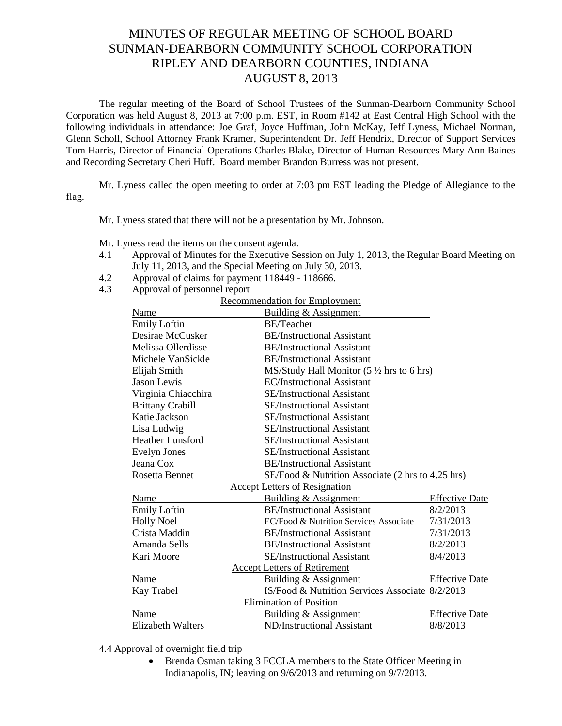## MINUTES OF REGULAR MEETING OF SCHOOL BOARD SUNMAN-DEARBORN COMMUNITY SCHOOL CORPORATION RIPLEY AND DEARBORN COUNTIES, INDIANA AUGUST 8, 2013

The regular meeting of the Board of School Trustees of the Sunman-Dearborn Community School Corporation was held August 8, 2013 at 7:00 p.m. EST, in Room #142 at East Central High School with the following individuals in attendance: Joe Graf, Joyce Huffman, John McKay, Jeff Lyness, Michael Norman, Glenn Scholl, School Attorney Frank Kramer, Superintendent Dr. Jeff Hendrix, Director of Support Services Tom Harris, Director of Financial Operations Charles Blake, Director of Human Resources Mary Ann Baines and Recording Secretary Cheri Huff. Board member Brandon Burress was not present.

Mr. Lyness called the open meeting to order at 7:03 pm EST leading the Pledge of Allegiance to the flag.

Mr. Lyness stated that there will not be a presentation by Mr. Johnson.

Mr. Lyness read the items on the consent agenda.

- 4.1 Approval of Minutes for the Executive Session on July 1, 2013, the Regular Board Meeting on July 11, 2013, and the Special Meeting on July 30, 2013.
- 4.2 Approval of claims for payment 118449 118666.
- 4.3 Approval of personnel report

| Recommendation for Employment |  |  |
|-------------------------------|--|--|
|                               |  |  |

| Name                                 | <b>Building &amp; Assignment</b>                     |                       |  |  |  |
|--------------------------------------|------------------------------------------------------|-----------------------|--|--|--|
| <b>Emily Loftin</b>                  | <b>BE/Teacher</b>                                    |                       |  |  |  |
| Desirae McCusker                     | <b>BE/Instructional Assistant</b>                    |                       |  |  |  |
| Melissa Ollerdisse                   | <b>BE/Instructional Assistant</b>                    |                       |  |  |  |
| Michele VanSickle                    | <b>BE/Instructional Assistant</b>                    |                       |  |  |  |
| Elijah Smith                         | MS/Study Hall Monitor $(5 \frac{1}{2}$ hrs to 6 hrs) |                       |  |  |  |
| Jason Lewis                          | <b>EC/Instructional Assistant</b>                    |                       |  |  |  |
| Virginia Chiacchira                  | <b>SE/Instructional Assistant</b>                    |                       |  |  |  |
| <b>Brittany Crabill</b>              | <b>SE/Instructional Assistant</b>                    |                       |  |  |  |
| Katie Jackson                        | <b>SE/Instructional Assistant</b>                    |                       |  |  |  |
| Lisa Ludwig                          | <b>SE/Instructional Assistant</b>                    |                       |  |  |  |
| <b>Heather Lunsford</b>              | <b>SE/Instructional Assistant</b>                    |                       |  |  |  |
| <b>Evelyn Jones</b>                  | <b>SE/Instructional Assistant</b>                    |                       |  |  |  |
| Jeana Cox                            | <b>BE/Instructional Assistant</b>                    |                       |  |  |  |
| <b>Rosetta Bennet</b>                | SE/Food & Nutrition Associate (2 hrs to 4.25 hrs)    |                       |  |  |  |
| <b>Accept Letters of Resignation</b> |                                                      |                       |  |  |  |
| Name                                 | Building & Assignment                                | <b>Effective Date</b> |  |  |  |
| <b>Emily Loftin</b>                  | <b>BE/Instructional Assistant</b>                    | 8/2/2013              |  |  |  |
| <b>Holly Noel</b>                    | EC/Food & Nutrition Services Associate               | 7/31/2013             |  |  |  |
| Crista Maddin                        | <b>BE/Instructional Assistant</b>                    | 7/31/2013             |  |  |  |
| Amanda Sells                         | <b>BE/Instructional Assistant</b>                    | 8/2/2013              |  |  |  |
| Kari Moore                           | <b>SE/Instructional Assistant</b>                    | 8/4/2013              |  |  |  |
| <b>Accept Letters of Retirement</b>  |                                                      |                       |  |  |  |
| Name                                 | Building & Assignment                                | <b>Effective Date</b> |  |  |  |
| Kay Trabel                           | IS/Food & Nutrition Services Associate 8/2/2013      |                       |  |  |  |
| <b>Elimination of Position</b>       |                                                      |                       |  |  |  |
| Name                                 | Building & Assignment                                | <b>Effective Date</b> |  |  |  |
| <b>Elizabeth Walters</b>             | ND/Instructional Assistant                           | 8/8/2013              |  |  |  |

4.4 Approval of overnight field trip

 Brenda Osman taking 3 FCCLA members to the State Officer Meeting in Indianapolis, IN; leaving on 9/6/2013 and returning on 9/7/2013.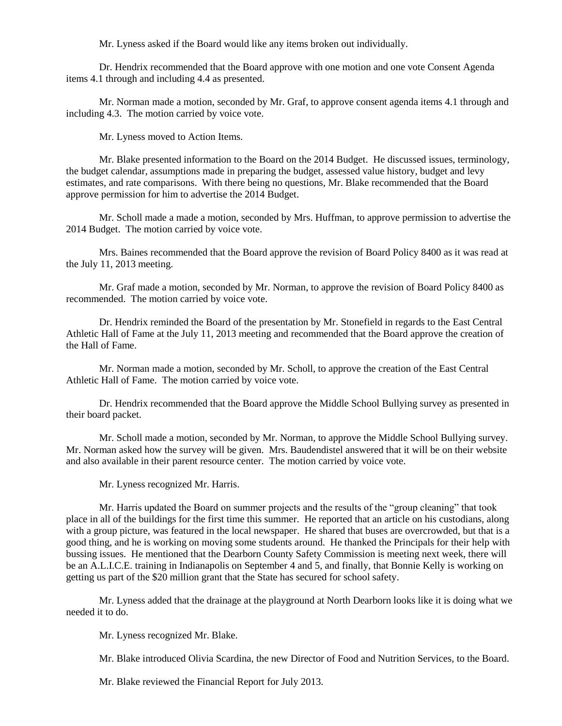Mr. Lyness asked if the Board would like any items broken out individually.

Dr. Hendrix recommended that the Board approve with one motion and one vote Consent Agenda items 4.1 through and including 4.4 as presented.

Mr. Norman made a motion, seconded by Mr. Graf, to approve consent agenda items 4.1 through and including 4.3. The motion carried by voice vote.

Mr. Lyness moved to Action Items.

Mr. Blake presented information to the Board on the 2014 Budget. He discussed issues, terminology, the budget calendar, assumptions made in preparing the budget, assessed value history, budget and levy estimates, and rate comparisons. With there being no questions, Mr. Blake recommended that the Board approve permission for him to advertise the 2014 Budget.

Mr. Scholl made a made a motion, seconded by Mrs. Huffman, to approve permission to advertise the 2014 Budget. The motion carried by voice vote.

Mrs. Baines recommended that the Board approve the revision of Board Policy 8400 as it was read at the July 11, 2013 meeting.

Mr. Graf made a motion, seconded by Mr. Norman, to approve the revision of Board Policy 8400 as recommended. The motion carried by voice vote.

Dr. Hendrix reminded the Board of the presentation by Mr. Stonefield in regards to the East Central Athletic Hall of Fame at the July 11, 2013 meeting and recommended that the Board approve the creation of the Hall of Fame.

Mr. Norman made a motion, seconded by Mr. Scholl, to approve the creation of the East Central Athletic Hall of Fame. The motion carried by voice vote.

Dr. Hendrix recommended that the Board approve the Middle School Bullying survey as presented in their board packet.

Mr. Scholl made a motion, seconded by Mr. Norman, to approve the Middle School Bullying survey. Mr. Norman asked how the survey will be given. Mrs. Baudendistel answered that it will be on their website and also available in their parent resource center. The motion carried by voice vote.

Mr. Lyness recognized Mr. Harris.

Mr. Harris updated the Board on summer projects and the results of the "group cleaning" that took place in all of the buildings for the first time this summer. He reported that an article on his custodians, along with a group picture, was featured in the local newspaper. He shared that buses are overcrowded, but that is a good thing, and he is working on moving some students around. He thanked the Principals for their help with bussing issues. He mentioned that the Dearborn County Safety Commission is meeting next week, there will be an A.L.I.C.E. training in Indianapolis on September 4 and 5, and finally, that Bonnie Kelly is working on getting us part of the \$20 million grant that the State has secured for school safety.

Mr. Lyness added that the drainage at the playground at North Dearborn looks like it is doing what we needed it to do.

Mr. Lyness recognized Mr. Blake.

Mr. Blake introduced Olivia Scardina, the new Director of Food and Nutrition Services, to the Board.

Mr. Blake reviewed the Financial Report for July 2013.